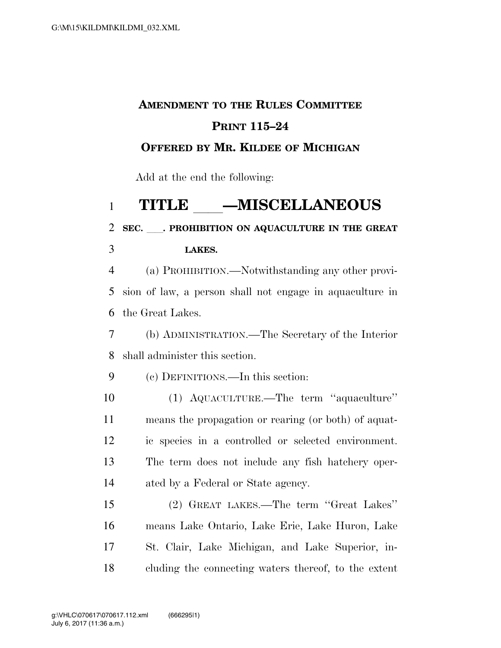## **AMENDMENT TO THE RULES COMMITTEE PRINT 115–24**

#### **OFFERED BY MR. KILDEE OF MICHIGAN**

Add at the end the following:

# 1 **TITLE \_\_\_\_\_MISCELLANEOUS**<br>2 SEC. PROHIBITION ON AQUACULTURE IN THE GRI

### **SEC.** ll**. PROHIBITION ON AQUACULTURE IN THE GREAT LAKES.**

 (a) PROHIBITION.—Notwithstanding any other provi- sion of law, a person shall not engage in aquaculture in the Great Lakes.

 (b) ADMINISTRATION.—The Secretary of the Interior shall administer this section.

(c) DEFINITIONS.—In this section:

 (1) AQUACULTURE.—The term ''aquaculture'' means the propagation or rearing (or both) of aquat- ic species in a controlled or selected environment. The term does not include any fish hatchery oper-ated by a Federal or State agency.

 (2) GREAT LAKES.—The term ''Great Lakes'' means Lake Ontario, Lake Erie, Lake Huron, Lake St. Clair, Lake Michigan, and Lake Superior, in-cluding the connecting waters thereof, to the extent